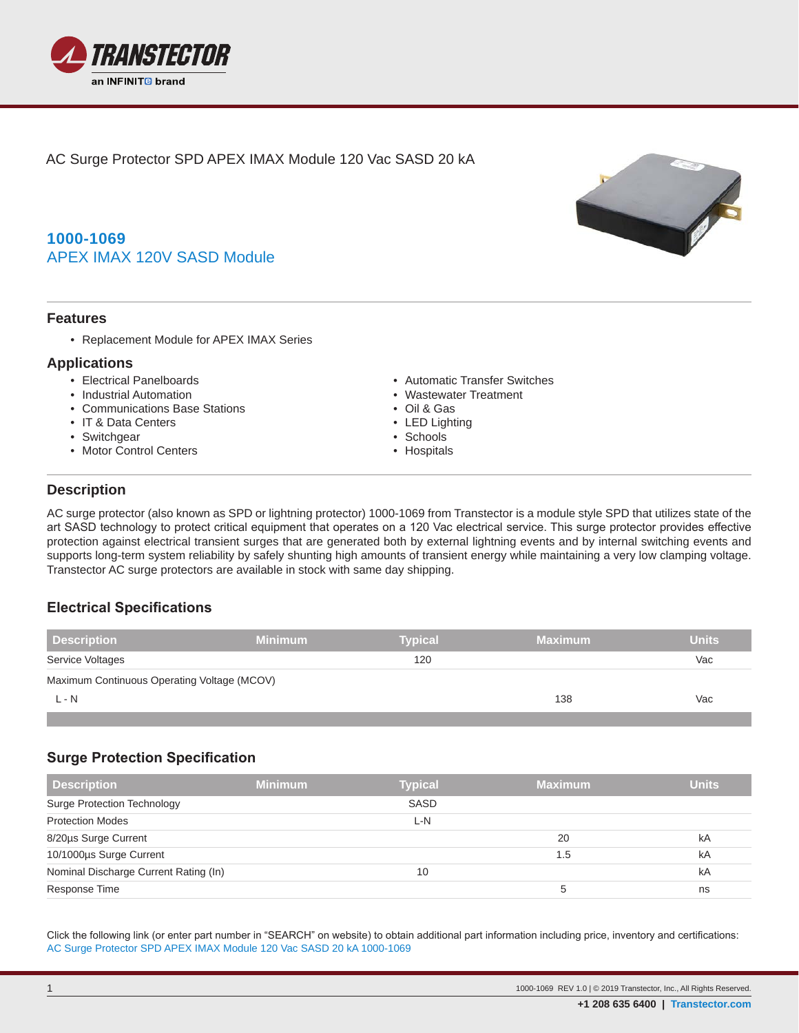

AC Surge Protector SPD APEX IMAX Module 120 Vac SASD 20 kA

# **1000-1069** APEX IMAX 120V SASD Module

### **Features**

• Replacement Module for APEX IMAX Series

### **Applications**

- Electrical Panelboards
- Industrial Automation
- Communications Base Stations
- IT & Data Centers
- Switchgear
- Motor Control Centers
- Automatic Transfer Switches
- Wastewater Treatment
- Oil & Gas
- LED Lighting
- Schools
- Hospitals

### **Description**

**.**

AC surge protector (also known as SPD or lightning protector) 1000-1069 from Transtector is a module style SPD that utilizes state of the art SASD technology to protect critical equipment that operates on a 120 Vac electrical service. This surge protector provides effective protection against electrical transient surges that are generated both by external lightning events and by internal switching events and supports long-term system reliability by safely shunting high amounts of transient energy while maintaining a very low clamping voltage. Transtector AC surge protectors are available in stock with same day shipping.

### **Electrical Specifications**

| <b>Description</b>                          | <b>Minimum</b> | <b>Typical</b> | <b>Maximum</b> | <b>Units</b> |
|---------------------------------------------|----------------|----------------|----------------|--------------|
| Service Voltages                            |                | 120            |                | Vac          |
| Maximum Continuous Operating Voltage (MCOV) |                |                |                |              |
| $L - N$                                     |                |                | 138            | Vac          |
|                                             |                |                |                |              |

### **Surge Protection Specification**

| <b>Description</b>                    | <b>Minimum</b> | <b>Typical</b> | <b>Maximum</b> | <b>Units</b> |
|---------------------------------------|----------------|----------------|----------------|--------------|
| <b>Surge Protection Technology</b>    |                | SASD           |                |              |
| <b>Protection Modes</b>               |                | L-N            |                |              |
| 8/20µs Surge Current                  |                |                | 20             | kA           |
| 10/1000µs Surge Current               |                |                | 1.5            | kA           |
| Nominal Discharge Current Rating (In) |                | 10             |                | kA           |
| Response Time                         |                |                | 5              | ns           |

Click the following link (or enter part number in "SEARCH" on website) to obtain additional part information including price, inventory and certifications: [AC Surge Protector SPD APEX IMAX Module 120 Vac SASD 20 kA](https://www.transtector.com/ac-surge-protector-spd-apex-imax-module-1000-1069-p.aspx) [1000-1069](https://www.transtector.com/ac-surge-protector-spd-apex-imax-module-1000-1069-p.aspx)

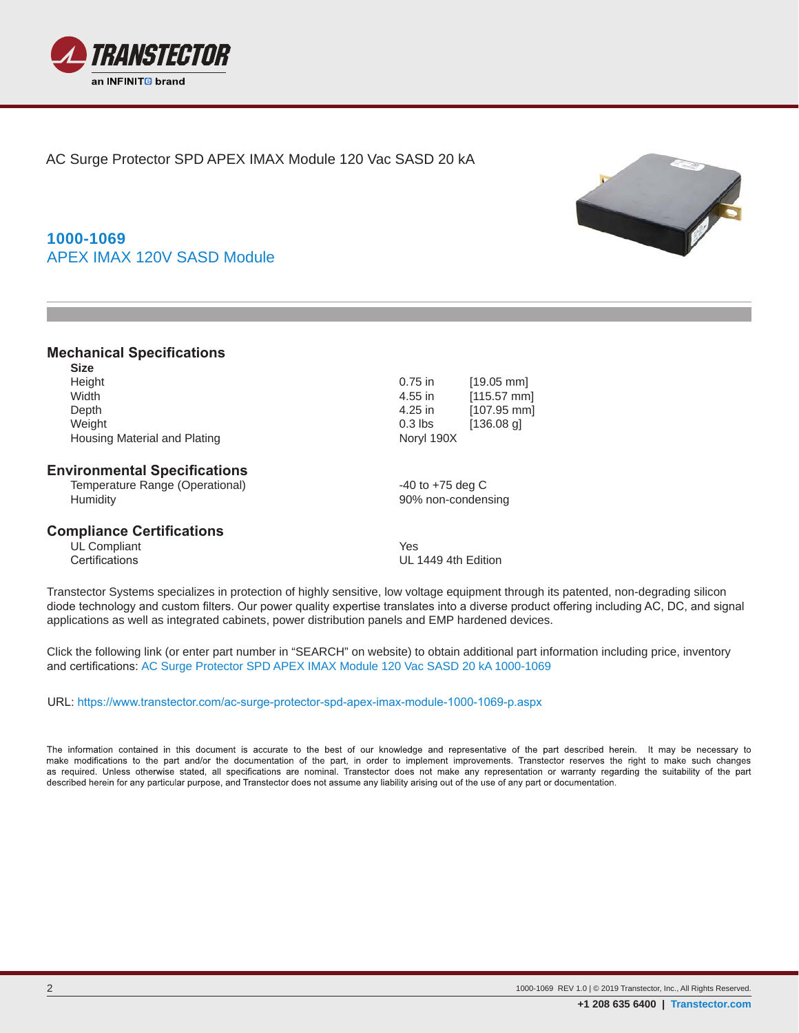

AC Surge Protector SPD APEX IMAX Module 120 Vac SASD 20 kA

# **1000-1069** APEX IMAX 120V SASD Module

### **Mechanical Specifications**

| $0.75$ in  | $[19.05$ mm  |
|------------|--------------|
| 4.55 in    | $[115.57$ mm |
| 4.25 in    | $[107.95$ mm |
| $0.3$ lbs  | $[136.08$ g] |
| Noryl 190X |              |
|            |              |

#### **Environmental Specifications**

Temperature Range (Operational)  $-40$  to +75 deg C Humidity 90% non-condensing

#### **Compliance Certifications**

UL Compliant The Vest Certifications of the Vest Certifications of the Vest Certifications of the Vest Certifications of the Vest Certifications of the Vest Certifications of the Vest Certifications of the Vest Certificati

UL 1449 4th Edition

Transtector Systems specializes in protection of highly sensitive, low voltage equipment through its patented, non-degrading silicon diode technology and custom filters. Our power quality expertise translates into a diverse product offering including AC, DC, and signal applications as well as integrated cabinets, power distribution panels and EMP hardened devices.

Click the following link (or enter part number in "SEARCH" on website) to obtain additional part information including price, inventory and certifications: [AC Surge Protector SPD APEX IMAX Module 120 Vac SASD 20 kA](https://www.transtector.com/ac-surge-protector-spd-apex-imax-module-1000-1069-p.aspx) [1000-1069](https://www.transtector.com/ac-surge-protector-spd-apex-imax-module-1000-1069-p.aspx)

URL:<https://www.transtector.com/ac-surge-protector-spd-apex-imax-module-1000-1069-p.aspx>

The information contained in this document is accurate to the best of our knowledge and representative of the part described herein. It may be necessary to make modifications to the part and/or the documentation of the part, in order to implement improvements. Transtector reserves the right to make such changes as required. Unless otherwise stated, all specifications are nominal. Transtector does not make any representation or warranty regarding the suitability of the part described herein for any particular purpose, and Transtector does not assume any liability arising out of the use of any part or documentation.